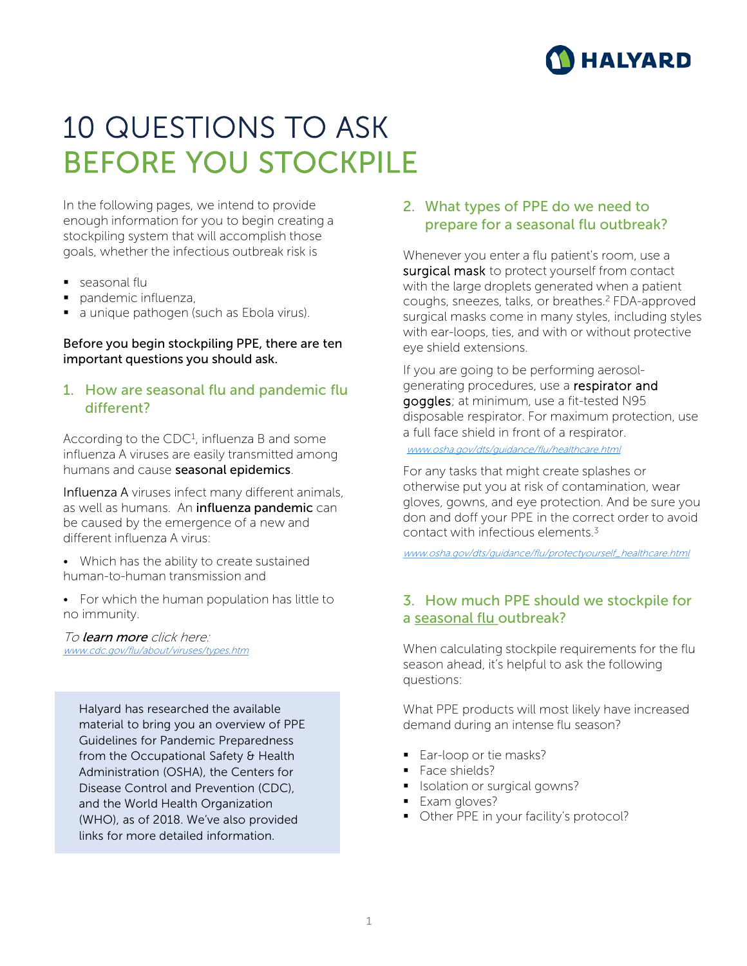

# 10 QUESTIONS TO ASK BEFORE YOU STOCKPILE

In the following pages, we intend to provide enough information for you to begin creating a stockpiling system that will accomplish those goals, whether the infectious outbreak risk is

- seasonal flu
- pandemic influenza,
- a unique pathogen (such as Ebola virus).

#### Before you begin stockpiling PPE, there are ten important questions you should ask.

#### 1. How are seasonal flu and pandemic flu different?

According to the CDC<sup>1</sup>, influenza B and some influenza A viruses are easily transmitted among humans and cause seasonal epidemics.

Influenza A viruses infect many different animals, as well as humans. An influenza pandemic can be caused by the emergence of a new and different influenza A virus:

- Which has the ability to create sustained human-to-human transmission and
- For which the human population has little to no immunity.

#### To learn more click here: [www.cdc.gov/flu/about/viruses/types.htm](http://www.cdc.gov/flu/about/viruses/types.htm)

Halyard has researched the available material to bring you an overview of PPE Guidelines for Pandemic Preparedness from the Occupational Safety & Health Administration (OSHA), the Centers for Disease Control and Prevention (CDC), and the World Health Organization (WHO), as of 2018. We've also provided links for more detailed information.

#### 2. What types of PPE do we need to prepare for a seasonal flu outbreak?

Whenever you enter a flu patient's room, use a surgical mask to protect yourself from contact with the large droplets generated when a patient coughs, sneezes, talks, or breathes.2 FDA-approved surgical masks come in many styles, including styles with ear-loops, ties, and with or without protective eye shield extensions.

If you are going to be performing aerosolgenerating procedures, use a respirator and goggles; at minimum, use a fit-tested N95 disposable respirator. For maximum protection, use a full face shield in front of a respirator.

[www.osha.gov/dts/guidance/flu/healthcare.html](http://www.osha.gov/dts/guidance/flu/healthcare.html)

For any tasks that might create splashes or otherwise put you at risk of contamination, wear gloves, gowns, and eye protection. And be sure you don and doff your PPE in the correct order to avoid contact with infectious elements  $3$ 

[www.osha.gov/dts/guidance/flu/protectyourself\\_healthcare.html](http://www.osha.gov/dts/guidance/flu/protectyourself_healthcare.html)

#### 3. How much PPE should we stockpile for a seasonal flu outbreak?

When calculating stockpile requirements for the flu season ahead, it's helpful to ask the following questions:

What PPE products will most likely have increased demand during an intense flu season?

- Ear-loop or tie masks?
- Face shields?
- **In Isolation or surgical gowns?**
- **Exam gloves?**
- **•** Other PPE in your facility's protocol?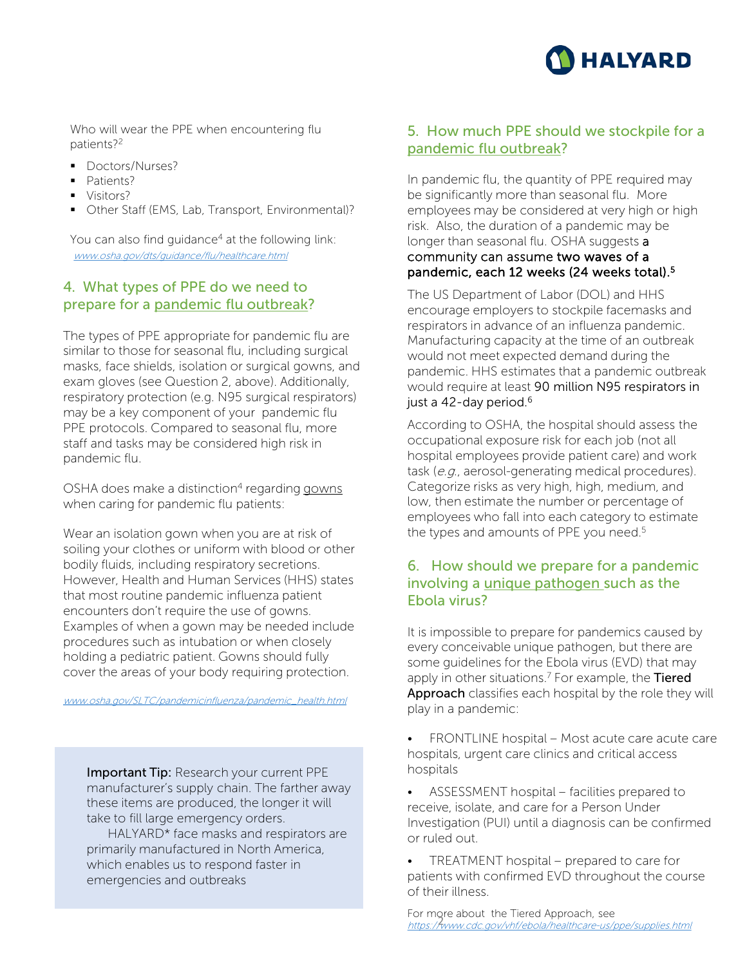

Who will wear the PPE when encountering flu patients?2

- **Doctors/Nurses?**
- Patients?
- **Visitors?**
- **•** Other Staff (EMS, Lab, Transport, Environmental)?

You can also find guidance<sup>4</sup> at the following link: [www.osha.gov/dts/guidance/flu/healthcare.html](http://www.osha.gov/dts/guidance/flu/healthcare.html)

#### 4. What types of PPE do we need to prepare for a pandemic flu outbreak?

The types of PPE appropriate for pandemic flu are similar to those for seasonal flu, including surgical masks, face shields, isolation or surgical gowns, and exam gloves (see Question 2, above). Additionally, respiratory protection (e.g. N95 surgical respirators) may be a key component of your pandemic flu PPE protocols. Compared to seasonal flu, more staff and tasks may be considered high risk in pandemic flu.

OSHA does make a distinction<sup>4</sup> regarding gowns when caring for pandemic flu patients:

Wear an isolation gown when you are at risk of soiling your clothes or uniform with blood or other bodily fluids, including respiratory secretions. However, Health and Human Services (HHS) states that most routine pandemic influenza patient encounters don't require the use of gowns. Examples of when a gown may be needed include procedures such as intubation or when closely holding a pediatric patient. Gowns should fully cover the areas of your body requiring protection.

[www.osha.gov/SLTC/pandemicinfluenza/pandemic\\_health.html](http://www.osha.gov/SLTC/pandemicinfluenza/pandemic_health.html)

Important Tip: Research your current PPE manufacturer's supply chain. The farther away these items are produced, the longer it will take to fill large emergency orders.

HALYARD\* face masks and respirators are primarily manufactured in North America, which enables us to respond faster in emergencies and outbreaks

### 5. How much PPE should we stockpile for a pandemic flu outbreak?

In pandemic flu, the quantity of PPE required may be significantly more than seasonal flu. More employees may be considered at very high or high risk. Also, the duration of a pandemic may be longer than seasonal flu. OSHA suggests a community can assume two waves of a pandemic, each 12 weeks (24 weeks total).5

The US Department of Labor (DOL) and HHS encourage employers to stockpile facemasks and respirators in advance of an influenza pandemic. Manufacturing capacity at the time of an outbreak would not meet expected demand during the pandemic. HHS estimates that a pandemic outbreak would require at least 90 million N95 respirators in just a 42-day period.<sup>6</sup>

According to OSHA, the hospital should assess the occupational exposure risk for each job (not all hospital employees provide patient care) and work task (e.g., aerosol-generating medical procedures). Categorize risks as very high, high, medium, and low, then estimate the number or percentage of employees who fall into each category to estimate the types and amounts of PPE you need.<sup>5</sup>

#### 6. How should we prepare for a pandemic involving a unique pathogen such as the Ebola virus?

It is impossible to prepare for pandemics caused by every conceivable unique pathogen, but there are some guidelines for the Ebola virus (EVD) that may apply in other situations.<sup>7</sup> For example, the Tiered Approach classifies each hospital by the role they will play in a pandemic:

- FRONTLINE hospital Most acute care acute care hospitals, urgent care clinics and critical access hospitals
- ASSESSMENT hospital facilities prepared to receive, isolate, and care for a Person Under Investigation (PUI) until a diagnosis can be confirmed or ruled out.
- TREATMENT hospital prepared to care for patients with confirmed EVD throughout the course of their illness.

For more about the Tiered Approach, see ror more about the nereal ripproach, see<br><https://www.cdc.gov/vhf/ebola/healthcare-us/ppe/supplies.html>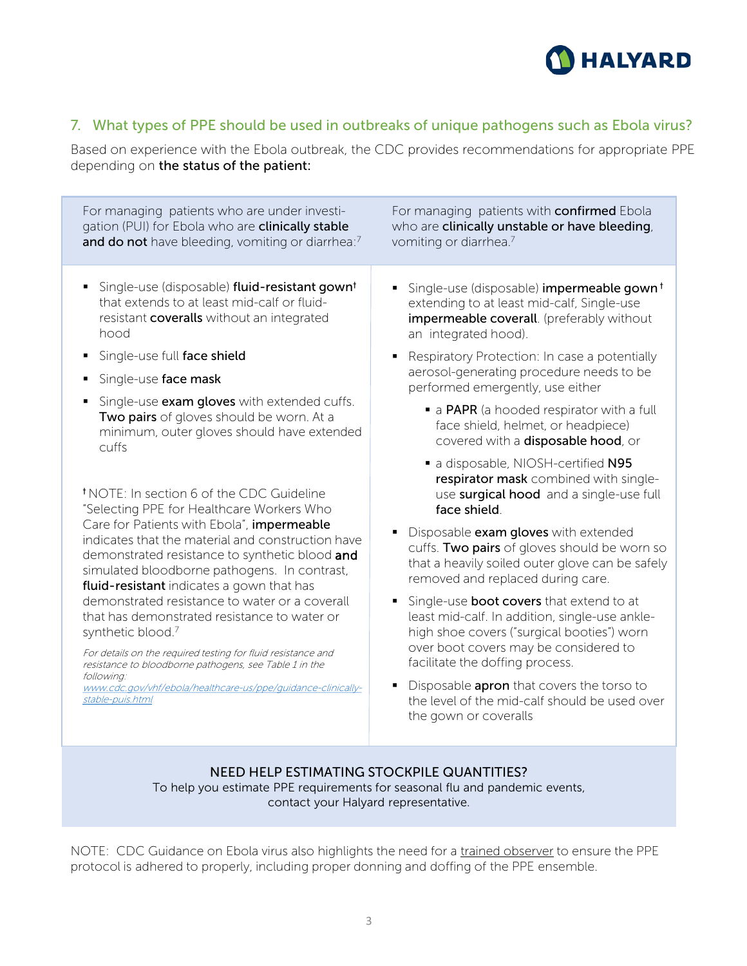

# 7. What types of PPE should be used in outbreaks of unique pathogens such as Ebola virus?

Based on experience with the Ebola outbreak, the CDC provides recommendations for appropriate PPE depending on the status of the patient:

| For managing patients who are under investi-<br>gation (PUI) for Ebola who are clinically stable<br>and do not have bleeding, vomiting or diarrhea:7                                                                                                                                                                                                                                                                                                                                                                                                                                                                                                                                                   | For managing patients with confirmed Ebola<br>who are clinically unstable or have bleeding,<br>vomiting or diarrhea. <sup>7</sup>                                                                                                                                                                                                                                                                                                                                                                                                                                                                                                                                                  |
|--------------------------------------------------------------------------------------------------------------------------------------------------------------------------------------------------------------------------------------------------------------------------------------------------------------------------------------------------------------------------------------------------------------------------------------------------------------------------------------------------------------------------------------------------------------------------------------------------------------------------------------------------------------------------------------------------------|------------------------------------------------------------------------------------------------------------------------------------------------------------------------------------------------------------------------------------------------------------------------------------------------------------------------------------------------------------------------------------------------------------------------------------------------------------------------------------------------------------------------------------------------------------------------------------------------------------------------------------------------------------------------------------|
| Single-use (disposable) fluid-resistant gown <sup>t</sup><br>that extends to at least mid-calf or fluid-<br>resistant coveralls without an integrated<br>hood                                                                                                                                                                                                                                                                                                                                                                                                                                                                                                                                          | Single-use (disposable) impermeable gown <sup>t</sup><br>extending to at least mid-calf, Single-use<br>impermeable coverall. (preferably without<br>an integrated hood).                                                                                                                                                                                                                                                                                                                                                                                                                                                                                                           |
| Single-use full face shield                                                                                                                                                                                                                                                                                                                                                                                                                                                                                                                                                                                                                                                                            | Respiratory Protection: In case a potentially                                                                                                                                                                                                                                                                                                                                                                                                                                                                                                                                                                                                                                      |
| Single-use face mask                                                                                                                                                                                                                                                                                                                                                                                                                                                                                                                                                                                                                                                                                   | aerosol-generating procedure needs to be<br>performed emergently, use either                                                                                                                                                                                                                                                                                                                                                                                                                                                                                                                                                                                                       |
| Single-use exam gloves with extended cuffs.<br>Two pairs of gloves should be worn. At a<br>minimum, outer gloves should have extended<br><b>Cuffs</b>                                                                                                                                                                                                                                                                                                                                                                                                                                                                                                                                                  | • a PAPR (a hooded respirator with a full<br>face shield, helmet, or headpiece)<br>covered with a disposable hood, or                                                                                                                                                                                                                                                                                                                                                                                                                                                                                                                                                              |
| <sup>†</sup> NOTE: In section 6 of the CDC Guideline<br>"Selecting PPE for Healthcare Workers Who<br>Care for Patients with Ebola", impermeable<br>indicates that the material and construction have<br>demonstrated resistance to synthetic blood and<br>simulated bloodborne pathogens. In contrast,<br>fluid-resistant indicates a gown that has<br>demonstrated resistance to water or a coverall<br>that has demonstrated resistance to water or<br>synthetic blood.7<br>For details on the required testing for fluid resistance and<br>resistance to bloodborne pathogens, see Table 1 in the<br>following:<br>www.cdc.gov/vhf/ebola/healthcare-us/ppe/guidance-clinically-<br>stable-puis.html | a disposable, NIOSH-certified N95<br>respirator mask combined with single-<br>use surgical hood and a single-use full<br>face shield.<br>Disposable exam gloves with extended<br>cuffs. Two pairs of gloves should be worn so<br>that a heavily soiled outer glove can be safely<br>removed and replaced during care.<br>Single-use <b>boot covers</b> that extend to at<br>least mid-calf. In addition, single-use ankle-<br>high shoe covers ("surgical booties") worn<br>over boot covers may be considered to<br>facilitate the doffing process.<br>Disposable <b>apron</b> that covers the torso to<br>the level of the mid-calf should be used over<br>the gown or coveralls |

#### NEED HELP ESTIMATING STOCKPILE QUANTITIES? To help you estimate PPE requirements for seasonal flu and pandemic events, contact your Halyard representative.

NOTE: CDC Guidance on Ebola virus also highlights the need for a trained observer to ensure the PPE protocol is adhered to properly, including proper donning and doffing of the PPE ensemble.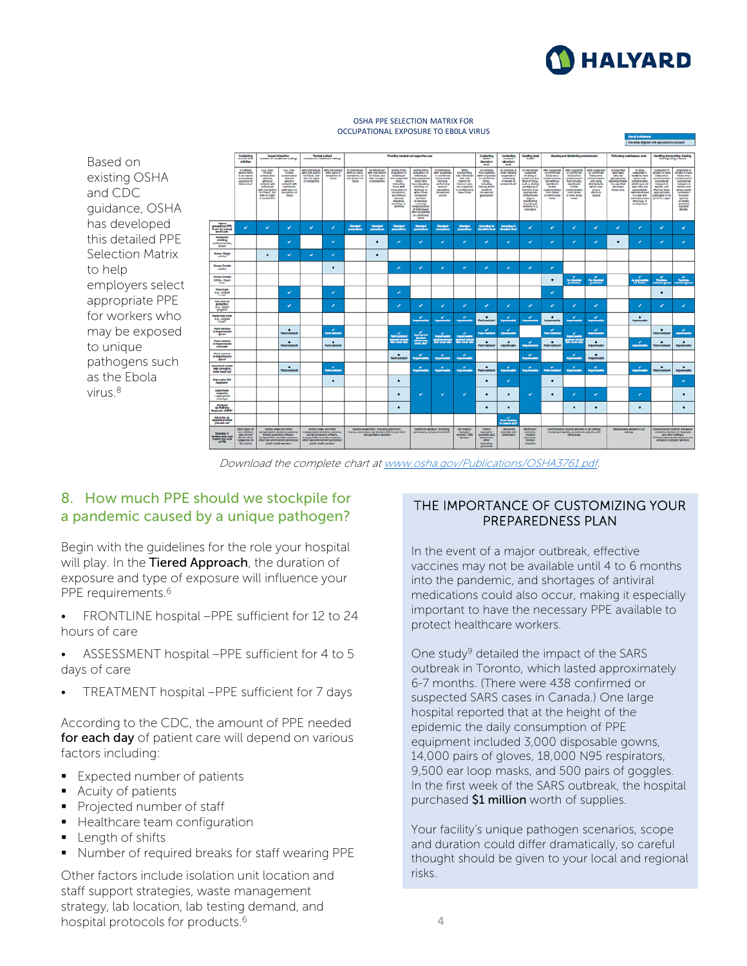

#### OSHA PPE SELECTION MATRIX FOR OCCUPATIONAL EXPOSURE TO EB0LA VIRUS

Based on existing OSHA and CDC guidance, OSHA has developed this detailed PPE Selection Matrix to help employers select appropriate PPE for workers who may be exposed to unique pathogens such as the Ebola virus. 8



Download the complete chart at [www.osha.gov/Publications/OSHA3761.pdf.](http://www.osha.gov/Publications/OSHA3761.pdf)

### 8. How much PPE should we stockpile for a pandemic caused by a unique pathogen?

Begin with the guidelines for the role your hospital will play. In the Tiered Approach, the duration of exposure and type of exposure will influence your PPE requirements.<sup>6</sup>

FRONTLINE hospital –PPE sufficient for 12 to 24 hours of care

- ASSESSMENT hospital –PPE sufficient for 4 to 5 days of care
- TREATMENT hospital –PPE sufficient for 7 days

According to the CDC, the amount of PPE needed for each day of patient care will depend on various factors including:

- **Expected number of patients**
- **Acuity of patients**
- Projected number of staff
- **Healthcare team configuration**
- Length of shifts
- Number of required breaks for staff wearing PPE

Other factors include isolation unit location and staff support strategies, waste management strategy, lab location, lab testing demand, and hospital protocols for products.6

#### THE IMPORTANCE OF CUSTOMIZING YOUR PREPAREDNESS PLAN

In the event of a major outbreak, effective vaccines may not be available until 4 to 6 months into the pandemic, and shortages of antiviral medications could also occur, making it especially important to have the necessary PPE available to protect healthcare workers.

One study<sup>9</sup> detailed the impact of the SARS outbreak in Toronto, which lasted approximately 6-7 months. (There were 438 confirmed or suspected SARS cases in Canada.) One large hospital reported that at the height of the epidemic the daily consumption of PPE equipment included 3,000 disposable gowns, 14,000 pairs of gloves, 18,000 N95 respirators, 9,500 ear loop masks, and 500 pairs of goggles. In the first week of the SARS outbreak, the hospital purchased \$1 million worth of supplies.

Your facility's unique pathogen scenarios, scope and duration could differ dramatically, so careful thought should be given to your local and regional risks.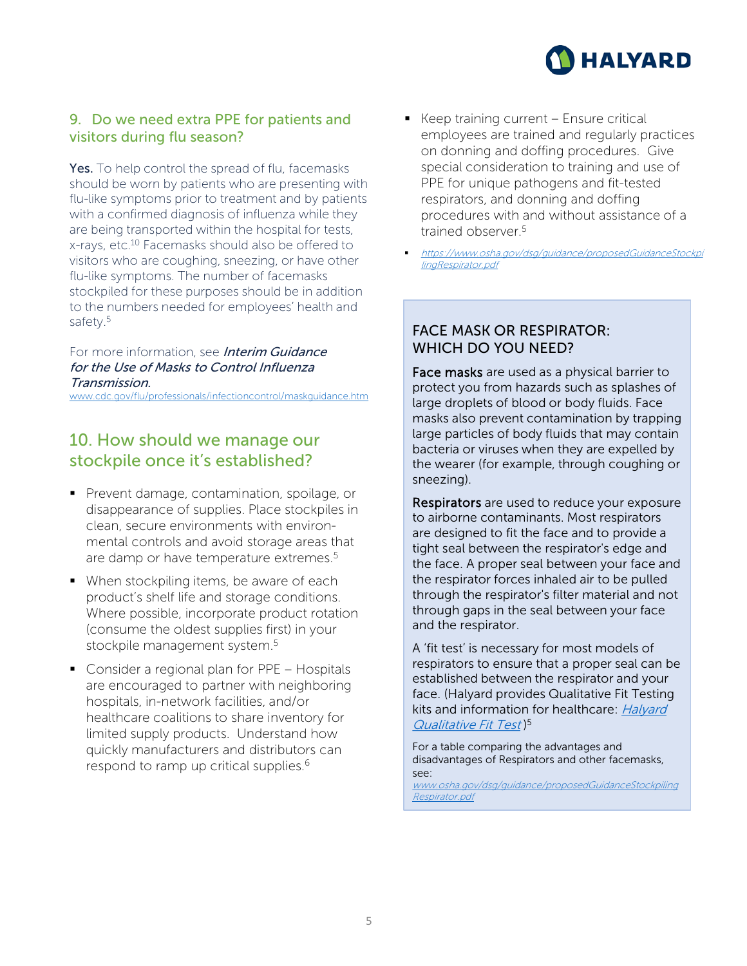

# 9. Do we need extra PPE for patients and visitors during flu season?

Yes. To help control the spread of flu, facemasks should be worn by patients who are presenting with flu-like symptoms prior to treatment and by patients with a confirmed diagnosis of influenza while they are being transported within the hospital for tests, x-rays, etc.10 Facemasks should also be offered to visitors who are coughing, sneezing, or have other flu-like symptoms. The number of facemasks stockpiled for these purposes should be in addition to the numbers needed for employees' health and safety.<sup>5</sup>

#### For more information, see **Interim Guidance** for the Use of Masks to Control Influenza Transmission.

[www.cdc.gov/flu/professionals/infectioncontrol/maskguidance.htm](http://www.cdc.gov/flu/professionals/infectioncontrol/maskguidance.htm)

# 10. How should we manage our stockpile once it's established?

- **Prevent damage, contamination, spoilage, or** disappearance of supplies. Place stockpiles in clean, secure environments with environmental controls and avoid storage areas that are damp or have temperature extremes.<sup>5</sup>
- When stockpiling items, be aware of each product's shelf life and storage conditions. Where possible, incorporate product rotation (consume the oldest supplies first) in your stockpile management system.<sup>5</sup>
- Consider a regional plan for PPE Hospitals are encouraged to partner with neighboring hospitals, in-network facilities, and/or healthcare coalitions to share inventory for limited supply products. Understand how quickly manufacturers and distributors can respond to ramp up critical supplies.<sup>6</sup>
- $\blacksquare$  Keep training current Ensure critical employees are trained and regularly practices on donning and doffing procedures. Give special consideration to training and use of PPE for unique pathogens and fit-tested respirators, and donning and doffing procedures with and without assistance of a trained observer<sup>5</sup>
	- [https://www.osha.gov/dsg/guidance/proposedGuidanceStockpi](https://www.osha.gov/dsg/guidance/proposedGuidanceStockpilingRespirator.pdf) lingRespirator.pdf

# FACE MASK OR RESPIRATOR: WHICH DO YOU NEED?

Face masks are used as a physical barrier to protect you from hazards such as splashes of large droplets of blood or body fluids. Face masks also prevent contamination by trapping large particles of body fluids that may contain bacteria or viruses when they are expelled by the wearer (for example, through coughing or sneezing).

Respirators are used to reduce your exposure to airborne contaminants. Most respirators are designed to fit the face and to provide a tight seal between the respirator's edge and the face. A proper seal between your face and the respirator forces inhaled air to be pulled through the respirator's filter material and not through gaps in the seal between your face and the respirator.

A 'fit test' is necessary for most models of respirators to ensure that a proper seal can be established between the respirator and your face. (Halyard provides Qualitative Fit Testing [kits and information for healthcare:](https://products.halyardhealth.com/infection-prevention/facial-respiratory-protection/qualitative-fit-test-accessories/qualitative-fit-test-kit.html) *Halyard* Qualitative Fit Test<sup>)5</sup>

For a table comparing the advantages and disadvantages of Respirators and other facemasks, see:

[www.osha.gov/dsg/guidance/proposedGuidanceStockpiling](http://www.osha.gov/dsg/guidance/proposedGuidanceStockpilingRespirator.pdf) Respirator.pdf